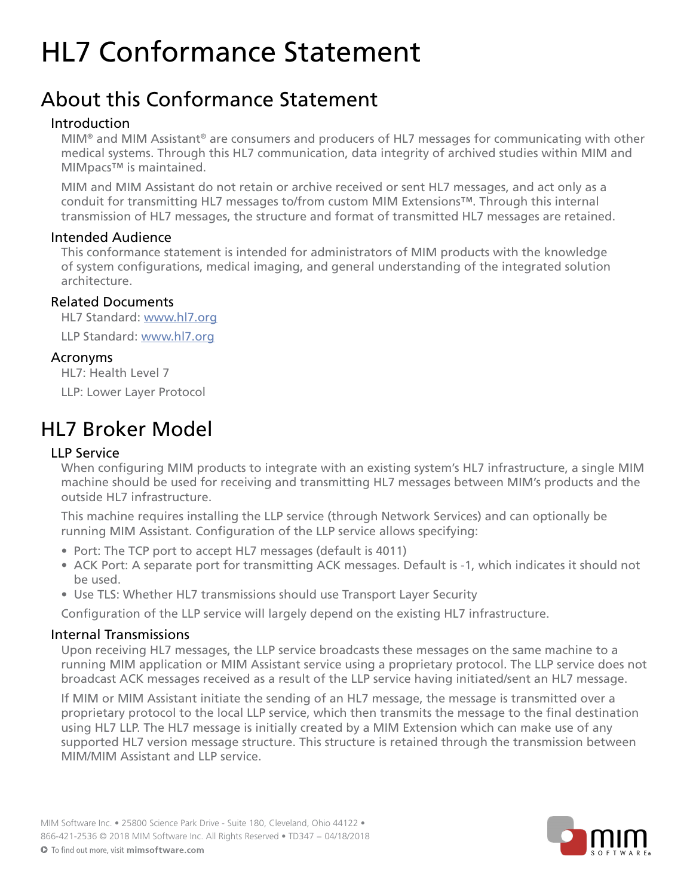# HL7 Conformance Statement

# About this Conformance Statement

#### Introduction

 MIM® and MIM Assistant® are consumers and producers of HL7 messages for communicating with other medical systems. Through this HL7 communication, data integrity of archived studies within MIM and MIMpacs™ is maintained.

MIM and MIM Assistant do not retain or archive received or sent HL7 messages, and act only as a conduit for transmitting HL7 messages to/from custom MIM Extensions™. Through this internal transmission of HL7 messages, the structure and format of transmitted HL7 messages are retained.

#### Intended Audience

This conformance statement is intended for administrators of MIM products with the knowledge of system configurations, medical imaging, and general understanding of the integrated solution architecture.

## Related Documents

 HL7 Standard: [www.hl7.org](http://www.hl7.org) LLP Standard: www.hl7.org

## Acronyms

HL7: Health Level 7

LLP: Lower Layer Protocol

# HL7 Broker Model

## LLP Service

When configuring MIM products to integrate with an existing system's HL7 infrastructure, a single MIM machine should be used for receiving and transmitting HL7 messages between MIM's products and the outside HL7 infrastructure.

This machine requires installing the LLP service (through Network Services) and can optionally be running MIM Assistant. Configuration of the LLP service allows specifying:

- Port: The TCP port to accept HL7 messages (default is 4011)
- ACK Port: A separate port for transmitting ACK messages. Default is -1, which indicates it should not be used.
- Use TLS: Whether HL7 transmissions should use Transport Layer Security

Configuration of the LLP service will largely depend on the existing HL7 infrastructure.

#### Internal Transmissions

Upon receiving HL7 messages, the LLP service broadcasts these messages on the same machine to a running MIM application or MIM Assistant service using a proprietary protocol. The LLP service does not broadcast ACK messages received as a result of the LLP service having initiated/sent an HL7 message.

If MIM or MIM Assistant initiate the sending of an HL7 message, the message is transmitted over a proprietary protocol to the local LLP service, which then transmits the message to the final destination using HL7 LLP. The HL7 message is initially created by a MIM Extension which can make use of any supported HL7 version message structure. This structure is retained through the transmission between MIM/MIM Assistant and LLP service.